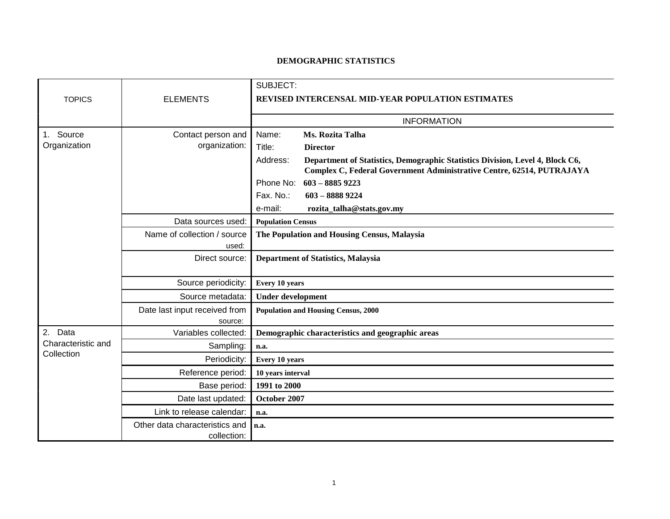## **DEMOGRAPHIC STATISTICS**

|                                                |                                | SUBJECT:                                                                                                                                                           |
|------------------------------------------------|--------------------------------|--------------------------------------------------------------------------------------------------------------------------------------------------------------------|
| <b>TOPICS</b>                                  | <b>ELEMENTS</b>                | REVISED INTERCENSAL MID-YEAR POPULATION ESTIMATES                                                                                                                  |
|                                                |                                |                                                                                                                                                                    |
|                                                |                                | <b>INFORMATION</b>                                                                                                                                                 |
| Source<br>1.                                   | Contact person and             | Name:<br>Ms. Rozita Talha                                                                                                                                          |
| Organization                                   | organization:                  | Title:<br><b>Director</b>                                                                                                                                          |
|                                                |                                | Address:<br>Department of Statistics, Demographic Statistics Division, Level 4, Block C6,<br>Complex C, Federal Government Administrative Centre, 62514, PUTRAJAYA |
|                                                |                                | $603 - 88859223$<br>Phone No:                                                                                                                                      |
|                                                |                                | Fax. No.:<br>$603 - 88889224$                                                                                                                                      |
|                                                |                                | e-mail:<br>rozita_talha@stats.gov.my                                                                                                                               |
|                                                | Data sources used:             | <b>Population Census</b>                                                                                                                                           |
|                                                | Name of collection / source    | The Population and Housing Census, Malaysia                                                                                                                        |
|                                                | used:                          |                                                                                                                                                                    |
|                                                | Direct source:                 | <b>Department of Statistics, Malaysia</b>                                                                                                                          |
|                                                |                                |                                                                                                                                                                    |
|                                                | Source periodicity:            | Every 10 years                                                                                                                                                     |
|                                                | Source metadata:               | <b>Under development</b>                                                                                                                                           |
|                                                | Date last input received from  | <b>Population and Housing Census, 2000</b>                                                                                                                         |
|                                                | source:                        |                                                                                                                                                                    |
| 2.<br>Data<br>Characteristic and<br>Collection | Variables collected:           | Demographic characteristics and geographic areas                                                                                                                   |
|                                                | Sampling:                      | n.a.                                                                                                                                                               |
|                                                | Periodicity:                   | Every 10 years                                                                                                                                                     |
|                                                | Reference period:              | 10 years interval                                                                                                                                                  |
|                                                | Base period:                   | 1991 to 2000                                                                                                                                                       |
|                                                | Date last updated:             | October 2007                                                                                                                                                       |
|                                                | Link to release calendar:      | n.a.                                                                                                                                                               |
|                                                | Other data characteristics and | n.a.                                                                                                                                                               |
|                                                | collection:                    |                                                                                                                                                                    |